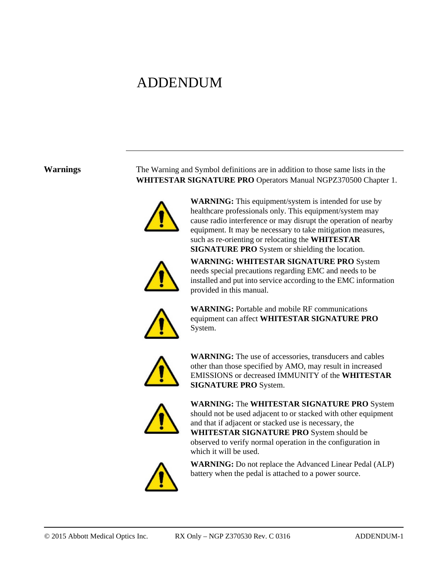# ADDENDUM

**Warnings** The Warning and Symbol definitions are in addition to those same lists in the **WHITESTAR SIGNATURE PRO** Operators Manual NGPZ370500 Chapter 1.



**WARNING:** This equipment/system is intended for use by healthcare professionals only. This equipment/system may cause radio interference or may disrupt the operation of nearby equipment. It may be necessary to take mitigation measures, such as re-orienting or relocating the **WHITESTAR SIGNATURE PRO** System or shielding the location.



**WARNING: WHITESTAR SIGNATURE PRO** System needs special precautions regarding EMC and needs to be installed and put into service according to the EMC information provided in this manual.



**WARNING:** Portable and mobile RF communications equipment can affect **WHITESTAR SIGNATURE PRO** System.



**WARNING:** The use of accessories, transducers and cables other than those specified by AMO, may result in increased EMISSIONS or decreased IMMUNITY of the **WHITESTAR SIGNATURE PRO** System.



**WARNING:** The **WHITESTAR SIGNATURE PRO** System should not be used adjacent to or stacked with other equipment and that if adjacent or stacked use is necessary, the **WHITESTAR SIGNATURE PRO** System should be observed to verify normal operation in the configuration in which it will be used.



**WARNING:** Do not replace the Advanced Linear Pedal (ALP) battery when the pedal is attached to a power source.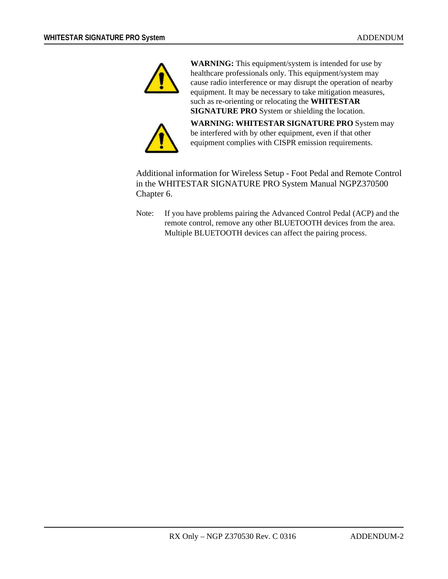

**WARNING:** This equipment/system is intended for use by healthcare professionals only. This equipment/system may cause radio interference or may disrupt the operation of nearby equipment. It may be necessary to take mitigation measures, such as re-orienting or relocating the **WHITESTAR SIGNATURE PRO** System or shielding the location.



**WARNING: WHITESTAR SIGNATURE PRO** System may be interfered with by other equipment, even if that other equipment complies with CISPR emission requirements.

Additional information for Wireless Setup - Foot Pedal and Remote Control in the WHITESTAR SIGNATURE PRO System Manual NGPZ370500 Chapter 6.

Note: If you have problems pairing the Advanced Control Pedal (ACP) and the remote control, remove any other BLUETOOTH devices from the area. Multiple BLUETOOTH devices can affect the pairing process.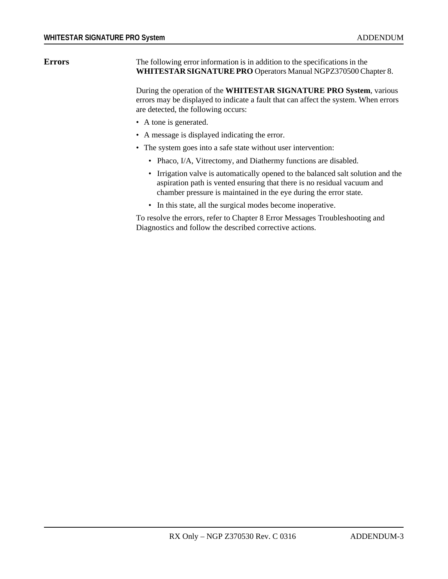**Errors** The following error information is in addition to the specifications in the **WHITESTAR SIGNATURE PRO** Operators Manual NGPZ370500 Chapter 8.

> During the operation of the **WHITESTAR SIGNATURE PRO System**, various errors may be displayed to indicate a fault that can affect the system. When errors are detected, the following occurs:

- A tone is generated.
- A message is displayed indicating the error.
- The system goes into a safe state without user intervention:
	- Phaco, I/A, Vitrectomy, and Diathermy functions are disabled.
	- Irrigation valve is automatically opened to the balanced salt solution and the aspiration path is vented ensuring that there is no residual vacuum and chamber pressure is maintained in the eye during the error state.
	- In this state, all the surgical modes become inoperative.

To resolve the errors, refer to Chapter 8 Error Messages Troubleshooting and Diagnostics and follow the described corrective actions.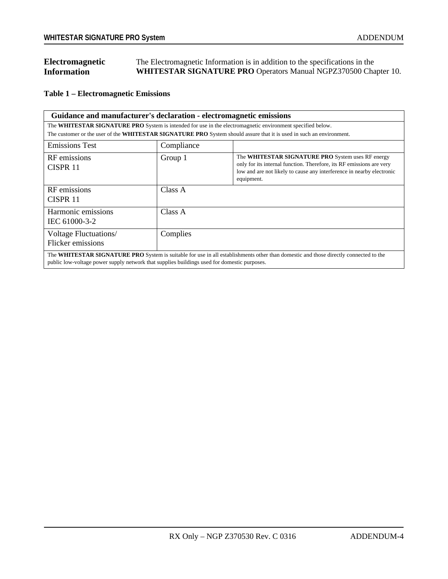| Electromagnetic    | The Electromagnetic Information is in addition to the specifications in the |
|--------------------|-----------------------------------------------------------------------------|
| <b>Information</b> | <b>WHITESTAR SIGNATURE PRO Operators Manual NGPZ370500 Chapter 10.</b>      |

**Table 1 – Electromagnetic Emissions**

| Guidance and manufacturer's declaration - electromagnetic emissions                                                                                                                                                                 |            |                                                                                                                                                                                                                  |  |  |  |
|-------------------------------------------------------------------------------------------------------------------------------------------------------------------------------------------------------------------------------------|------------|------------------------------------------------------------------------------------------------------------------------------------------------------------------------------------------------------------------|--|--|--|
| The WHITESTAR SIGNATURE PRO System is intended for use in the electromagnetic environment specified below.                                                                                                                          |            |                                                                                                                                                                                                                  |  |  |  |
|                                                                                                                                                                                                                                     |            | The customer or the user of the WHITESTAR SIGNATURE PRO System should assure that it is used in such an environment.                                                                                             |  |  |  |
| <b>Emissions Test</b>                                                                                                                                                                                                               | Compliance |                                                                                                                                                                                                                  |  |  |  |
| RF emissions<br>CISPR <sub>11</sub>                                                                                                                                                                                                 | Group 1    | The WHITESTAR SIGNATURE PRO System uses RF energy<br>only for its internal function. Therefore, its RF emissions are very<br>low and are not likely to cause any interference in nearby electronic<br>equipment. |  |  |  |
| RF emissions<br>CISPR <sub>11</sub>                                                                                                                                                                                                 | Class A    |                                                                                                                                                                                                                  |  |  |  |
| Harmonic emissions<br>IEC 61000-3-2                                                                                                                                                                                                 | Class A    |                                                                                                                                                                                                                  |  |  |  |
| Voltage Fluctuations/<br>Flicker emissions                                                                                                                                                                                          | Complies   |                                                                                                                                                                                                                  |  |  |  |
| The WHITESTAR SIGNATURE PRO System is suitable for use in all establishments other than domestic and those directly connected to the<br>public low-voltage power supply network that supplies buildings used for domestic purposes. |            |                                                                                                                                                                                                                  |  |  |  |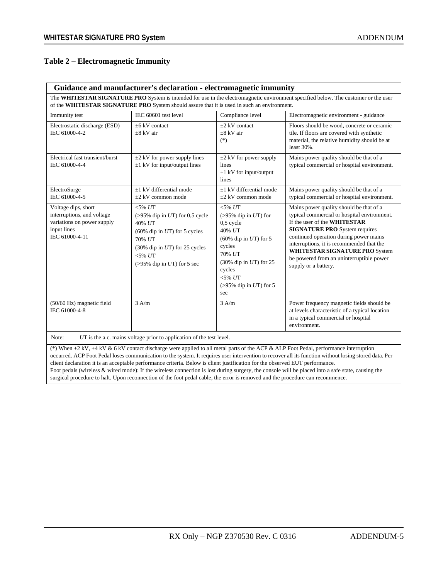#### **Table 2 – Electromagnetic Immunity**

|                                                                                                                                                                                                                                    | Guidance and manufacturer's declaration - electromagnetic immunity                                                                                                                          |                                                                                                                                                                                                             |                                                                                                                                                                                                                                                                                                                                                             |  |  |  |  |
|------------------------------------------------------------------------------------------------------------------------------------------------------------------------------------------------------------------------------------|---------------------------------------------------------------------------------------------------------------------------------------------------------------------------------------------|-------------------------------------------------------------------------------------------------------------------------------------------------------------------------------------------------------------|-------------------------------------------------------------------------------------------------------------------------------------------------------------------------------------------------------------------------------------------------------------------------------------------------------------------------------------------------------------|--|--|--|--|
| The WHITESTAR SIGNATURE PRO System is intended for use in the electromagnetic environment specified below. The customer or the user<br>of the WHITESTAR SIGNATURE PRO System should assure that it is used in such an environment. |                                                                                                                                                                                             |                                                                                                                                                                                                             |                                                                                                                                                                                                                                                                                                                                                             |  |  |  |  |
| Immunity test                                                                                                                                                                                                                      | IEC 60601 test level                                                                                                                                                                        | Compliance level                                                                                                                                                                                            | Electromagnetic environment - guidance                                                                                                                                                                                                                                                                                                                      |  |  |  |  |
| Electrostatic discharge (ESD)<br>IEC 61000-4-2                                                                                                                                                                                     | $+6$ kV contact<br>$\pm 8$ kV air                                                                                                                                                           | $+2$ kV contact<br>$\pm 8$ kV air<br>$(*)$                                                                                                                                                                  | Floors should be wood, concrete or ceramic<br>tile. If floors are covered with synthetic<br>material, the relative humidity should be at<br>least $30\%$ .                                                                                                                                                                                                  |  |  |  |  |
| Electrical fast transient/burst<br>IEC 61000-4-4                                                                                                                                                                                   | $\pm 2$ kV for power supply lines<br>$\pm 1$ kV for input/output lines                                                                                                                      | $\pm 2$ kV for power supply<br>lines<br>$\pm 1$ kV for input/output<br>lines                                                                                                                                | Mains power quality should be that of a<br>typical commercial or hospital environment.                                                                                                                                                                                                                                                                      |  |  |  |  |
| ElectroSurge<br>IEC 61000-4-5                                                                                                                                                                                                      | $\pm 1$ kV differential mode<br>$\pm 2$ kV common mode                                                                                                                                      | $\pm 1$ kV differential mode<br>$\pm 2$ kV common mode                                                                                                                                                      | Mains power quality should be that of a<br>typical commercial or hospital environment.                                                                                                                                                                                                                                                                      |  |  |  |  |
| Voltage dips, short<br>interruptions, and voltage<br>variations on power supply<br>input lines<br>IEC 61000-4-11                                                                                                                   | $<$ 5% $UT$<br>$(>95\%$ dip in UT) for 0.5 cycle<br>40% UT<br>$(60\%$ dip in UT) for 5 cycles<br>70% UT<br>$(30\%$ dip in UT) for 25 cycles<br>$<$ 5% $UT$<br>$($ >95% dip in UT) for 5 sec | $< 5\%$ $UT$<br>$($ >95% dip in UT) for<br>$0.5$ cycle<br>40% UT<br>$(60\%$ dip in UT) for 5<br>cycles<br>70% UT<br>$(30\%$ dip in UT) for 25<br>cycles<br>$< 5\%$ $UT$<br>$(>95\%$ dip in UT) for 5<br>sec | Mains power quality should be that of a<br>typical commercial or hospital environment.<br>If the user of the WHITESTAR<br><b>SIGNATURE PRO System requires</b><br>continued operation during power mains<br>interruptions, it is recommended that the<br>WHITESTAR SIGNATURE PRO System<br>be powered from an uninterruptible power<br>supply or a battery. |  |  |  |  |
| $(50/60$ Hz) magnetic field<br>IEC 61000-4-8                                                                                                                                                                                       | $3 \text{ A/m}$                                                                                                                                                                             | 3 A/m                                                                                                                                                                                                       | Power frequency magnetic fields should be<br>at levels characteristic of a typical location<br>in a typical commercial or hospital<br>environment.                                                                                                                                                                                                          |  |  |  |  |

age prior to application of the test level.

(\*) When  $\pm 2$  kV,  $\pm 4$  kV & 6 kV contact discharge were applied to all metal parts of the ACP & ALP Foot Pedal, performance interruption occurred. ACP Foot Pedal loses communication to the system. It requires user intervention to recover all its function without losing stored data. Per client declaration it is an acceptable performance criteria. Below is client justification for the observed EUT performance. Foot pedals (wireless & wired mode): If the wireless connection is lost during surgery, the console will be placed into a safe state, causing the surgical procedure to halt. Upon reconnection of the foot pedal cable, the error is removed and the procedure can recommence.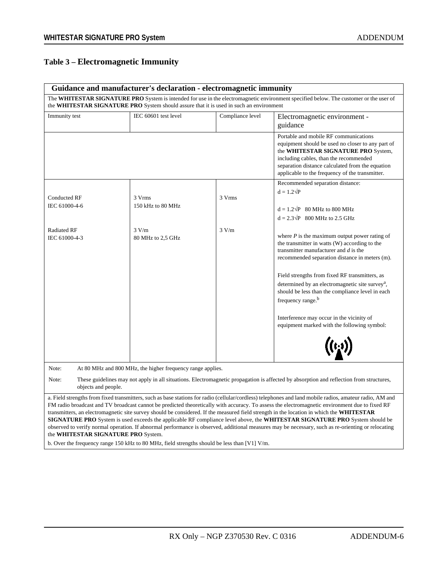## **Table 3 – Electromagnetic Immunity**

|                                                                                                                                                                                                                                                                                                                                                                                                                                                                                                                                                                                                                                                                                                                                                                                                                                                                                                  | Guidance and manufacturer's declaration - electromagnetic immunity                      |                  |                                                                                                                                                                                                                                                                                    |  |  |
|--------------------------------------------------------------------------------------------------------------------------------------------------------------------------------------------------------------------------------------------------------------------------------------------------------------------------------------------------------------------------------------------------------------------------------------------------------------------------------------------------------------------------------------------------------------------------------------------------------------------------------------------------------------------------------------------------------------------------------------------------------------------------------------------------------------------------------------------------------------------------------------------------|-----------------------------------------------------------------------------------------|------------------|------------------------------------------------------------------------------------------------------------------------------------------------------------------------------------------------------------------------------------------------------------------------------------|--|--|
|                                                                                                                                                                                                                                                                                                                                                                                                                                                                                                                                                                                                                                                                                                                                                                                                                                                                                                  | the WHITESTAR SIGNATURE PRO System should assure that it is used in such an environment |                  | The WHITESTAR SIGNATURE PRO System is intended for use in the electromagnetic environment specified below. The customer or the user of                                                                                                                                             |  |  |
| Immunity test                                                                                                                                                                                                                                                                                                                                                                                                                                                                                                                                                                                                                                                                                                                                                                                                                                                                                    | IEC 60601 test level                                                                    | Compliance level | Electromagnetic environment -<br>guidance                                                                                                                                                                                                                                          |  |  |
|                                                                                                                                                                                                                                                                                                                                                                                                                                                                                                                                                                                                                                                                                                                                                                                                                                                                                                  |                                                                                         |                  | Portable and mobile RF communications<br>equipment should be used no closer to any part of<br>the WHITESTAR SIGNATURE PRO System,<br>including cables, than the recommended<br>separation distance calculated from the equation<br>applicable to the frequency of the transmitter. |  |  |
| <b>Conducted RF</b>                                                                                                                                                                                                                                                                                                                                                                                                                                                                                                                                                                                                                                                                                                                                                                                                                                                                              | 3 Vrms                                                                                  | 3 Vrms           | Recommended separation distance:<br>$d = 1.2\sqrt{P}$                                                                                                                                                                                                                              |  |  |
| IEC 61000-4-6                                                                                                                                                                                                                                                                                                                                                                                                                                                                                                                                                                                                                                                                                                                                                                                                                                                                                    | 150 kHz to 80 MHz                                                                       |                  | $d = 1.2\sqrt{P}$ 80 MHz to 800 MHz<br>$d = 2.3\sqrt{P}$ 800 MHz to 2.5 GHz                                                                                                                                                                                                        |  |  |
| <b>Radiated RF</b><br>IEC 61000-4-3                                                                                                                                                                                                                                                                                                                                                                                                                                                                                                                                                                                                                                                                                                                                                                                                                                                              | 3 V/m<br>80 MHz to 2,5 GHz                                                              | 3 V/m            | where $P$ is the maximum output power rating of<br>the transmitter in watts (W) according to the<br>transmitter manufacturer and $d$ is the<br>recommended separation distance in meters (m).                                                                                      |  |  |
|                                                                                                                                                                                                                                                                                                                                                                                                                                                                                                                                                                                                                                                                                                                                                                                                                                                                                                  |                                                                                         |                  | Field strengths from fixed RF transmitters, as<br>determined by an electromagnetic site survey <sup>a</sup> ,<br>should be less than the compliance level in each<br>frequency range. <sup>b</sup>                                                                                 |  |  |
|                                                                                                                                                                                                                                                                                                                                                                                                                                                                                                                                                                                                                                                                                                                                                                                                                                                                                                  |                                                                                         |                  | Interference may occur in the vicinity of<br>equipment marked with the following symbol:<br>$((c_i))$                                                                                                                                                                              |  |  |
| Note:                                                                                                                                                                                                                                                                                                                                                                                                                                                                                                                                                                                                                                                                                                                                                                                                                                                                                            | At 80 MHz and 800 MHz, the higher frequency range applies.                              |                  |                                                                                                                                                                                                                                                                                    |  |  |
| Note:<br>objects and people.                                                                                                                                                                                                                                                                                                                                                                                                                                                                                                                                                                                                                                                                                                                                                                                                                                                                     |                                                                                         |                  | These guidelines may not apply in all situations. Electromagnetic propagation is affected by absorption and reflection from structures,                                                                                                                                            |  |  |
| a. Field strengths from fixed transmitters, such as base stations for radio (cellular/cordless) telephones and land mobile radios, amateur radio, AM and<br>FM radio broadcast and TV broadcast cannot be predicted theoretically with accuracy. To assess the electromagnetic environment due to fixed RF<br>transmitters, an electromagnetic site survey should be considered. If the measured field strength in the location in which the WHITESTAR<br><b>SIGNATURE PRO</b> System is used exceeds the applicable RF compliance level above, the <b>WHITESTAR SIGNATURE PRO</b> System should be<br>observed to verify normal operation. If abnormal performance is observed, additional measures may be necessary, such as re-orienting or relocating<br>the WHITESTAR SIGNATURE PRO System.<br>b. Over the frequency range 150 kHz to 80 MHz, field strengths should be less than [V1] V/m. |                                                                                         |                  |                                                                                                                                                                                                                                                                                    |  |  |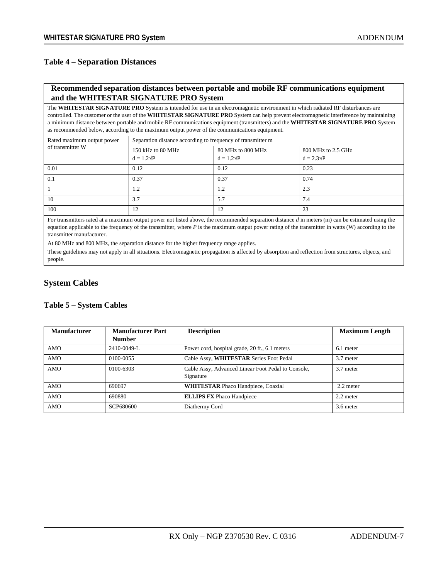#### **Table 4 – Separation Distances**

#### **Recommended separation distances between portable and mobile RF communications equipment and the WHITESTAR SIGNATURE PRO System**

The **WHITESTAR SIGNATURE PRO** System is intended for use in an electromagnetic environment in which radiated RF disturbances are controlled. The customer or the user of the **WHITESTAR SIGNATURE PRO** System can help prevent electromagnetic interference by maintaining a minimum distance between portable and mobile RF communications equipment (transmitters) and the **WHITESTAR SIGNATURE PRO** System as recommended below, according to the maximum output power of the communications equipment.

| Rated maximum output power | Separation distance according to frequency of transmitter m |                                        |                                         |  |  |  |
|----------------------------|-------------------------------------------------------------|----------------------------------------|-----------------------------------------|--|--|--|
| of transmitter W           | 150 kHz to 80 MHz<br>$d = 1.2\sqrt{P}$                      | 80 MHz to 800 MHz<br>$d = 1.2\sqrt{P}$ | 800 MHz to 2.5 GHz<br>$d = 2.3\sqrt{P}$ |  |  |  |
| 0.01                       | 0.12                                                        | 0.12                                   | 0.23                                    |  |  |  |
| 0.1                        | 0.37                                                        | 0.37                                   | 0.74                                    |  |  |  |
|                            | 1.2                                                         | 1.2                                    | 2.3                                     |  |  |  |
| 10                         | 3.7                                                         | 5.7                                    | 7.4                                     |  |  |  |
| 100                        | 12                                                          | 12                                     | 23                                      |  |  |  |

For transmitters rated at a maximum output power not listed above, the recommended separation distance *d* in meters (m) can be estimated using the equation applicable to the frequency of the transmitter, where P is the maximum output power rating of the transmitter in watts (W) according to the transmitter manufacturer.

At 80 MHz and 800 MHz, the separation distance for the higher frequency range applies.

These guidelines may not apply in all situations. Electromagnetic propagation is affected by absorption and reflection from structures, objects, and people.

#### **System Cables**

#### **Table 5 – System Cables**

| <b>Manufacturer</b> | <b>Manufacturer Part</b><br><b>Number</b> | <b>Description</b>                                              | <b>Maximum Length</b> |
|---------------------|-------------------------------------------|-----------------------------------------------------------------|-----------------------|
| AMO                 | 2410-0049-L                               | Power cord, hospital grade, 20 ft., 6.1 meters                  | 6.1 meter             |
| AMO                 | 0100-0055                                 | Cable Assy, WHITESTAR Series Foot Pedal                         | 3.7 meter             |
| <b>AMO</b>          | 0100-6303                                 | Cable Assy, Advanced Linear Foot Pedal to Console,<br>Signature | 3.7 meter             |
| AMO                 | 690697                                    | <b>WHITESTAR Phaco Handpiece, Coaxial</b>                       | 2.2 meter             |
| AMO                 | 690880                                    | <b>ELLIPS FX Phaco Handpiece</b>                                | 2.2 meter             |
| AMO                 | SCP680600                                 | Diathermy Cord                                                  | 3.6 meter             |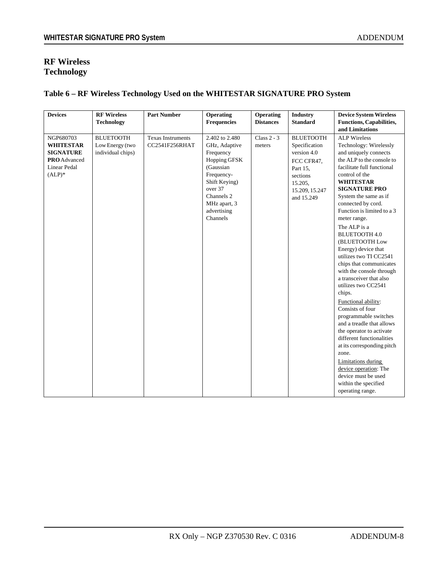#### **RF Wireless Technology**

### **Table 6 – RF Wireless Technology Used on the WHITESTAR SIGNATURE PRO System**

| <b>Devices</b>                                                                                        | <b>RF Wireless</b><br><b>Technology</b>                  | <b>Part Number</b>                         | Operating<br><b>Frequencies</b>                                                                                                                                              | Operating<br><b>Distances</b> | <b>Industry</b><br><b>Standard</b>                                                                                                | <b>Device System Wireless</b><br><b>Functions, Capabilities,</b><br>and Limitations                                                                                                                                                                                                                                                                                                                                                                                                                                                                                                                                                                                                                                                                                                                                                                  |
|-------------------------------------------------------------------------------------------------------|----------------------------------------------------------|--------------------------------------------|------------------------------------------------------------------------------------------------------------------------------------------------------------------------------|-------------------------------|-----------------------------------------------------------------------------------------------------------------------------------|------------------------------------------------------------------------------------------------------------------------------------------------------------------------------------------------------------------------------------------------------------------------------------------------------------------------------------------------------------------------------------------------------------------------------------------------------------------------------------------------------------------------------------------------------------------------------------------------------------------------------------------------------------------------------------------------------------------------------------------------------------------------------------------------------------------------------------------------------|
| NGP680703<br><b>WHITESTAR</b><br><b>SIGNATURE</b><br><b>PRO</b> Advanced<br>Linear Pedal<br>$(ALP)^*$ | <b>BLUETOOTH</b><br>Low Energy (two<br>individual chips) | <b>Texas Instruments</b><br>CC2541F256RHAT | 2.402 to 2.480<br>GHz, Adaptive<br>Frequency<br>Hopping GFSK<br>(Gaussian<br>Frequency-<br>Shift Keying)<br>over 37<br>Channels 2<br>MHz apart, 3<br>advertising<br>Channels | Class $2 - 3$<br>meters       | <b>BLUETOOTH</b><br>Specification<br>version 4.0<br>FCC CFR47,<br>Part 15,<br>sections<br>15.205,<br>15.209, 15.247<br>and 15.249 | <b>ALP</b> Wireless<br>Technology: Wirelessly<br>and uniquely connects<br>the ALP to the console to<br>facilitate full functional<br>control of the<br><b>WHITESTAR</b><br><b>SIGNATURE PRO</b><br>System the same as if<br>connected by cord.<br>Function is limited to a 3<br>meter range.<br>The ALP is a<br><b>BLUETOOTH 4.0</b><br>(BLUETOOTH Low<br>Energy) device that<br>utilizes two TI CC2541<br>chips that communicates<br>with the console through<br>a transceiver that also<br>utilizes two CC2541<br>chips.<br>Functional ability:<br>Consists of four<br>programmable switches<br>and a treadle that allows<br>the operator to activate<br>different functionalities<br>at its corresponding pitch<br>zone.<br><b>Limitations</b> during<br>device operation: The<br>device must be used<br>within the specified<br>operating range. |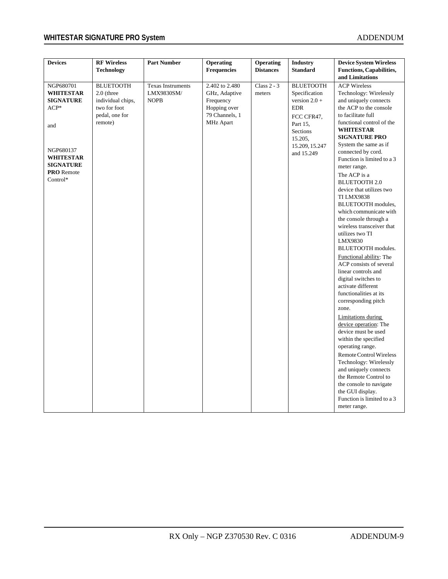## **WHITESTAR SIGNATURE PRO System** ADDENDUM ADDENDUM

| <b>Devices</b>                                                                                                                                           | <b>RF Wireless</b><br><b>Technology</b>                                                            | <b>Part Number</b>                                    | <b>Operating</b><br><b>Frequencies</b>                                                             | <b>Operating</b><br><b>Distances</b> | <b>Industry</b><br><b>Standard</b>                                                                                                                  | <b>Device System Wireless</b><br><b>Functions, Capabilities,</b><br>and Limitations                                                                                                                                                                                                                                                                                                                                                                                                                                                                                                                                                                                                                                                                                                                                                                                                                                                                                                                                                                            |
|----------------------------------------------------------------------------------------------------------------------------------------------------------|----------------------------------------------------------------------------------------------------|-------------------------------------------------------|----------------------------------------------------------------------------------------------------|--------------------------------------|-----------------------------------------------------------------------------------------------------------------------------------------------------|----------------------------------------------------------------------------------------------------------------------------------------------------------------------------------------------------------------------------------------------------------------------------------------------------------------------------------------------------------------------------------------------------------------------------------------------------------------------------------------------------------------------------------------------------------------------------------------------------------------------------------------------------------------------------------------------------------------------------------------------------------------------------------------------------------------------------------------------------------------------------------------------------------------------------------------------------------------------------------------------------------------------------------------------------------------|
| NGP680701<br><b>WHITESTAR</b><br><b>SIGNATURE</b><br>$ACP*$<br>and<br>NGP680137<br><b>WHITESTAR</b><br><b>SIGNATURE</b><br><b>PRO</b> Remote<br>Control* | <b>BLUETOOTH</b><br>$2.0$ (three<br>individual chips,<br>two for foot<br>pedal, one for<br>remote) | <b>Texas Instruments</b><br>LMX9830SM/<br><b>NOPB</b> | 2.402 to 2.480<br>GHz, Adaptive<br>Frequency<br>Hopping over<br>79 Channels, 1<br><b>MHz Apart</b> | Class $2 - 3$<br>meters              | <b>BLUETOOTH</b><br>Specification<br>version $2.0 +$<br><b>EDR</b><br>FCC CFR47,<br>Part 15,<br>Sections<br>15.205,<br>15.209, 15.247<br>and 15.249 | <b>ACP Wireless</b><br>Technology: Wirelessly<br>and uniquely connects<br>the ACP to the console<br>to facilitate full<br>functional control of the<br><b>WHITESTAR</b><br><b>SIGNATURE PRO</b><br>System the same as if<br>connected by cord.<br>Function is limited to a 3<br>meter range.<br>The ACP is a<br><b>BLUETOOTH 2.0</b><br>device that utilizes two<br><b>TI LMX9838</b><br><b>BLUETOOTH</b> modules,<br>which communicate with<br>the console through a<br>wireless transceiver that<br>utilizes two TI<br>LMX9830<br>BLUETOOTH modules.<br>Functional ability: The<br>ACP consists of several<br>linear controls and<br>digital switches to<br>activate different<br>functionalities at its<br>corresponding pitch<br>zone.<br><b>Limitations</b> during<br>device operation: The<br>device must be used<br>within the specified<br>operating range.<br><b>Remote Control Wireless</b><br>Technology: Wirelessly<br>and uniquely connects<br>the Remote Control to<br>the console to navigate<br>the GUI display.<br>Function is limited to a 3 |
|                                                                                                                                                          |                                                                                                    |                                                       |                                                                                                    |                                      |                                                                                                                                                     | meter range.                                                                                                                                                                                                                                                                                                                                                                                                                                                                                                                                                                                                                                                                                                                                                                                                                                                                                                                                                                                                                                                   |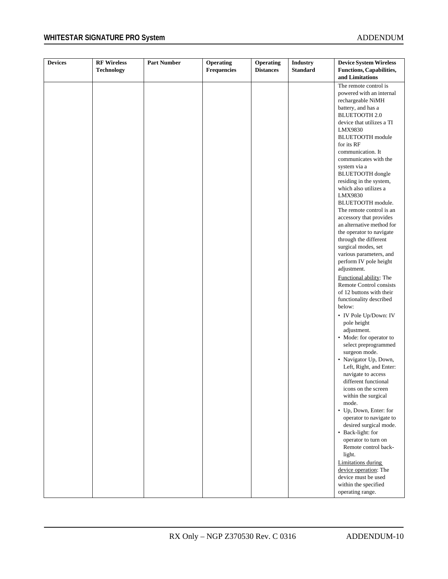| <b>Devices</b> | <b>RF</b> Wireless | <b>Part Number</b> | Operating   | Operating        | <b>Industry</b> | <b>Device System Wireless</b>                             |
|----------------|--------------------|--------------------|-------------|------------------|-----------------|-----------------------------------------------------------|
|                | <b>Technology</b>  |                    | Frequencies | <b>Distances</b> | <b>Standard</b> | <b>Functions, Capabilities,</b><br>and Limitations        |
|                |                    |                    |             |                  |                 | The remote control is                                     |
|                |                    |                    |             |                  |                 | powered with an internal                                  |
|                |                    |                    |             |                  |                 | rechargeable NiMH                                         |
|                |                    |                    |             |                  |                 | battery, and has a                                        |
|                |                    |                    |             |                  |                 | <b>BLUETOOTH 2.0</b>                                      |
|                |                    |                    |             |                  |                 | device that utilizes a TI<br>LMX9830                      |
|                |                    |                    |             |                  |                 | <b>BLUETOOTH</b> module<br>for its RF                     |
|                |                    |                    |             |                  |                 | communication. It                                         |
|                |                    |                    |             |                  |                 | communicates with the<br>system via a                     |
|                |                    |                    |             |                  |                 | BLUETOOTH dongle                                          |
|                |                    |                    |             |                  |                 | residing in the system,                                   |
|                |                    |                    |             |                  |                 | which also utilizes a<br>LMX9830                          |
|                |                    |                    |             |                  |                 | BLUETOOTH module.                                         |
|                |                    |                    |             |                  |                 | The remote control is an                                  |
|                |                    |                    |             |                  |                 | accessory that provides                                   |
|                |                    |                    |             |                  |                 | an alternative method for                                 |
|                |                    |                    |             |                  |                 | the operator to navigate                                  |
|                |                    |                    |             |                  |                 | through the different<br>surgical modes, set              |
|                |                    |                    |             |                  |                 | various parameters, and                                   |
|                |                    |                    |             |                  |                 | perform IV pole height                                    |
|                |                    |                    |             |                  |                 | adjustment.                                               |
|                |                    |                    |             |                  |                 | Functional ability: The<br><b>Remote Control consists</b> |
|                |                    |                    |             |                  |                 | of 12 buttons with their                                  |
|                |                    |                    |             |                  |                 | functionality described<br>below:                         |
|                |                    |                    |             |                  |                 |                                                           |
|                |                    |                    |             |                  |                 | • IV Pole Up/Down: IV<br>pole height                      |
|                |                    |                    |             |                  |                 | adjustment.                                               |
|                |                    |                    |             |                  |                 | • Mode: for operator to                                   |
|                |                    |                    |             |                  |                 | select preprogrammed                                      |
|                |                    |                    |             |                  |                 | surgeon mode.                                             |
|                |                    |                    |             |                  |                 | • Navigator Up, Down,                                     |
|                |                    |                    |             |                  |                 | Left, Right, and Enter:                                   |
|                |                    |                    |             |                  |                 | navigate to access                                        |
|                |                    |                    |             |                  |                 | different functional                                      |
|                |                    |                    |             |                  |                 | icons on the screen<br>within the surgical                |
|                |                    |                    |             |                  |                 | mode.                                                     |
|                |                    |                    |             |                  |                 | • Up, Down, Enter: for                                    |
|                |                    |                    |             |                  |                 | operator to navigate to                                   |
|                |                    |                    |             |                  |                 | desired surgical mode.                                    |
|                |                    |                    |             |                  |                 | • Back-light: for                                         |
|                |                    |                    |             |                  |                 | operator to turn on                                       |
|                |                    |                    |             |                  |                 | Remote control back-                                      |
|                |                    |                    |             |                  |                 | light.                                                    |
|                |                    |                    |             |                  |                 | <b>Limitations during</b>                                 |
|                |                    |                    |             |                  |                 | device operation: The<br>device must be used              |
|                |                    |                    |             |                  |                 | within the specified                                      |
|                |                    |                    |             |                  |                 | operating range.                                          |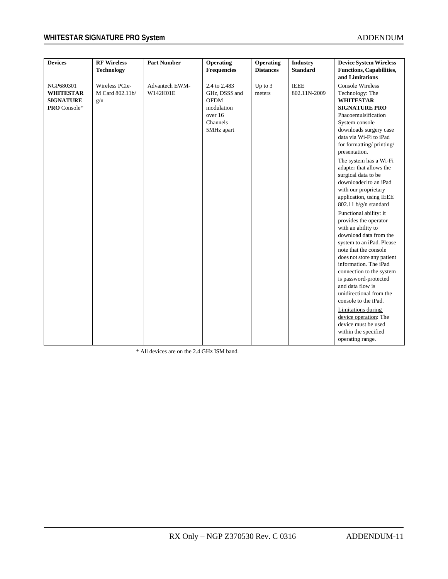## **WHITESTAR SIGNATURE PRO System** ADDENDUM ADDENDUM

| <b>Devices</b>   | <b>RF Wireless</b> | <b>Part Number</b> | Operating          | Operating        | <b>Industry</b> | <b>Device System Wireless</b>   |
|------------------|--------------------|--------------------|--------------------|------------------|-----------------|---------------------------------|
|                  | <b>Technology</b>  |                    | <b>Frequencies</b> | <b>Distances</b> | <b>Standard</b> | <b>Functions, Capabilities,</b> |
|                  |                    |                    |                    |                  |                 | and Limitations                 |
| NGP680301        | Wireless PCIe-     | Advantech EWM-     | 2.4 to 2.483       | Up to 3          | <b>IEEE</b>     | <b>Console Wireless</b>         |
| <b>WHITESTAR</b> | M Card 802.11b/    | W142H01E           | GHz, DSSS and      | meters           | 802.11N-2009    | Technology: The                 |
| <b>SIGNATURE</b> | g/n                |                    | <b>OFDM</b>        |                  |                 | <b>WHITESTAR</b>                |
| PRO Console*     |                    |                    | modulation         |                  |                 | <b>SIGNATURE PRO</b>            |
|                  |                    |                    | over 16            |                  |                 | Phacoemulsification             |
|                  |                    |                    | Channels           |                  |                 | System console                  |
|                  |                    |                    | 5MHz apart         |                  |                 | downloads surgery case          |
|                  |                    |                    |                    |                  |                 | data via Wi-Fi to iPad          |
|                  |                    |                    |                    |                  |                 | for formatting/printing/        |
|                  |                    |                    |                    |                  |                 | presentation.                   |
|                  |                    |                    |                    |                  |                 | The system has a Wi-Fi          |
|                  |                    |                    |                    |                  |                 | adapter that allows the         |
|                  |                    |                    |                    |                  |                 | surgical data to be             |
|                  |                    |                    |                    |                  |                 | downloaded to an iPad           |
|                  |                    |                    |                    |                  |                 | with our proprietary            |
|                  |                    |                    |                    |                  |                 | application, using IEEE         |
|                  |                    |                    |                    |                  |                 | 802.11 b/g/n standard           |
|                  |                    |                    |                    |                  |                 | Functional ability: it          |
|                  |                    |                    |                    |                  |                 | provides the operator           |
|                  |                    |                    |                    |                  |                 | with an ability to              |
|                  |                    |                    |                    |                  |                 | download data from the          |
|                  |                    |                    |                    |                  |                 | system to an iPad. Please       |
|                  |                    |                    |                    |                  |                 | note that the console           |
|                  |                    |                    |                    |                  |                 | does not store any patient      |
|                  |                    |                    |                    |                  |                 | information. The iPad           |
|                  |                    |                    |                    |                  |                 | connection to the system        |
|                  |                    |                    |                    |                  |                 | is password-protected           |
|                  |                    |                    |                    |                  |                 | and data flow is                |
|                  |                    |                    |                    |                  |                 | unidirectional from the         |
|                  |                    |                    |                    |                  |                 | console to the iPad.            |
|                  |                    |                    |                    |                  |                 | <b>Limitations</b> during       |
|                  |                    |                    |                    |                  |                 | device operation: The           |
|                  |                    |                    |                    |                  |                 | device must be used             |
|                  |                    |                    |                    |                  |                 | within the specified            |
|                  |                    |                    |                    |                  |                 | operating range.                |

\* All devices are on the 2.4 GHz ISM band.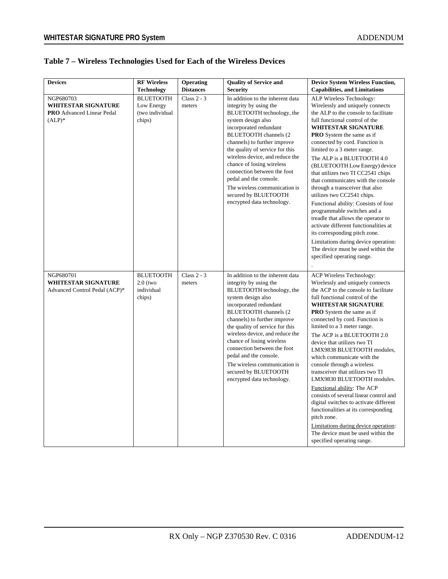### **Table 7 – Wireless Technologies Used for Each of the Wireless Devices**

| <b>Devices</b>                                                                           | <b>RF Wireless</b><br>Technology                            | Operating<br><b>Distances</b> | <b>Quality of Service and</b><br><b>Security</b>                                                                                                                                                                                                                                                                                                                                                                                                            | <b>Device System Wireless Function,</b><br><b>Capabilities, and Limitations</b>                                                                                                                                                                                                                                                                                                                                                                                                                                                                                                                                                                                                                                                                                                                 |
|------------------------------------------------------------------------------------------|-------------------------------------------------------------|-------------------------------|-------------------------------------------------------------------------------------------------------------------------------------------------------------------------------------------------------------------------------------------------------------------------------------------------------------------------------------------------------------------------------------------------------------------------------------------------------------|-------------------------------------------------------------------------------------------------------------------------------------------------------------------------------------------------------------------------------------------------------------------------------------------------------------------------------------------------------------------------------------------------------------------------------------------------------------------------------------------------------------------------------------------------------------------------------------------------------------------------------------------------------------------------------------------------------------------------------------------------------------------------------------------------|
| NGP680703<br><b>WHITESTAR SIGNATURE</b><br><b>PRO</b> Advanced Linear Pedal<br>$(ALP)^*$ | <b>BLUETOOTH</b><br>Low Energy<br>(two individual<br>chips) | Class $2 - 3$<br>meters       | In addition to the inherent data<br>integrity by using the<br>BLUETOOTH technology, the<br>system design also<br>incorporated redundant<br><b>BLUETOOTH</b> channels (2)<br>channels) to further improve<br>the quality of service for this<br>wireless device, and reduce the<br>chance of losing wireless<br>connection between the foot<br>pedal and the console.<br>The wireless communication is<br>secured by BLUETOOTH<br>encrypted data technology. | ALP Wireless Technology:<br>Wirelessly and uniquely connects<br>the ALP to the console to facilitate<br>full functional control of the<br><b>WHITESTAR SIGNATURE</b><br><b>PRO</b> System the same as if<br>connected by cord. Function is<br>limited to a 3 meter range.<br>The ALP is a BLUETOOTH 4.0<br>(BLUETOOTH Low Energy) device<br>that utilizes two TI CC2541 chips<br>that communicates with the console<br>through a transceiver that also<br>utilizes two CC2541 chips.<br>Functional ability: Consists of four<br>programmable switches and a<br>treadle that allows the operator to<br>activate different functionalities at<br>its corresponding pitch zone.<br>Limitations during device operation:<br>The device must be used within the<br>specified operating range.        |
| NGP680701<br>WHITESTAR SIGNATURE<br>Advanced Control Pedal (ACP)*                        | <b>BLUETOOTH</b><br>$2.0$ (two<br>individual<br>chips)      | Class $2 - 3$<br>meters       | In addition to the inherent data<br>integrity by using the<br>BLUETOOTH technology, the<br>system design also<br>incorporated redundant<br>BLUETOOTH channels (2<br>channels) to further improve<br>the quality of service for this<br>wireless device, and reduce the<br>chance of losing wireless<br>connection between the foot<br>pedal and the console.<br>The wireless communication is<br>secured by BLUETOOTH<br>encrypted data technology.         | <b>ACP Wireless Technology:</b><br>Wirelessly and uniquely connects<br>the ACP to the console to facilitate<br>full functional control of the<br><b>WHITESTAR SIGNATURE</b><br><b>PRO</b> System the same as if<br>connected by cord. Function is<br>limited to a 3 meter range.<br>The ACP is a BLUETOOTH 2.0<br>device that utilizes two TI<br>LMX9838 BLUETOOTH modules,<br>which communicate with the<br>console through a wireless<br>transceiver that utilizes two TI<br>LMX9830 BLUETOOTH modules.<br>Functional ability: The ACP<br>consists of several linear control and<br>digital switches to activate different<br>functionalities at its corresponding<br>pitch zone.<br>Limitations during device operation:<br>The device must be used within the<br>specified operating range. |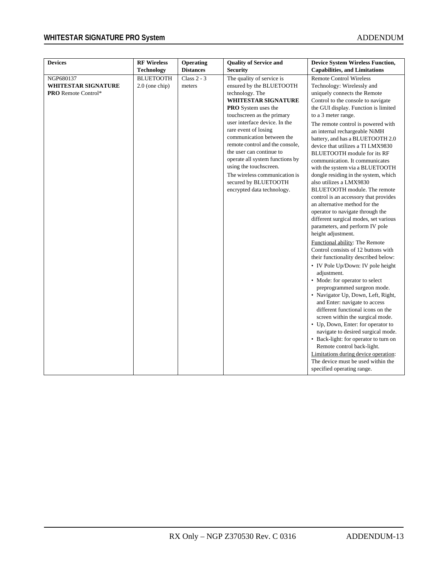## **WHITESTAR SIGNATURE PRO System** ADDENDUM ADDENDUM

| <b>Devices</b>                                                        | <b>RF Wireless</b>                   | Operating               | <b>Quality of Service and</b>                                                                                                                                                                                                                                                                                                                                                                                                                                               | <b>Device System Wireless Function,</b>                                                                                                                                                                                                                                                                                                                                                                                                                                                                                                                                                                                                                                                                                                                                                                                                                                                                                                                                                                                                                                                                                                                                                                                                                                                                                                                                                                                       |
|-----------------------------------------------------------------------|--------------------------------------|-------------------------|-----------------------------------------------------------------------------------------------------------------------------------------------------------------------------------------------------------------------------------------------------------------------------------------------------------------------------------------------------------------------------------------------------------------------------------------------------------------------------|-------------------------------------------------------------------------------------------------------------------------------------------------------------------------------------------------------------------------------------------------------------------------------------------------------------------------------------------------------------------------------------------------------------------------------------------------------------------------------------------------------------------------------------------------------------------------------------------------------------------------------------------------------------------------------------------------------------------------------------------------------------------------------------------------------------------------------------------------------------------------------------------------------------------------------------------------------------------------------------------------------------------------------------------------------------------------------------------------------------------------------------------------------------------------------------------------------------------------------------------------------------------------------------------------------------------------------------------------------------------------------------------------------------------------------|
|                                                                       | Technology                           | <b>Distances</b>        | <b>Security</b>                                                                                                                                                                                                                                                                                                                                                                                                                                                             | <b>Capabilities, and Limitations</b>                                                                                                                                                                                                                                                                                                                                                                                                                                                                                                                                                                                                                                                                                                                                                                                                                                                                                                                                                                                                                                                                                                                                                                                                                                                                                                                                                                                          |
| NGP680137<br><b>WHITESTAR SIGNATURE</b><br><b>PRO</b> Remote Control* | <b>BLUETOOTH</b><br>$2.0$ (one chip) | Class $2 - 3$<br>meters | The quality of service is<br>ensured by the BLUETOOTH<br>technology. The<br><b>WHITESTAR SIGNATURE</b><br><b>PRO</b> System uses the<br>touchscreen as the primary<br>user interface device. In the<br>rare event of losing<br>communication between the<br>remote control and the console,<br>the user can continue to<br>operate all system functions by<br>using the touchscreen.<br>The wireless communication is<br>secured by BLUETOOTH<br>encrypted data technology. | <b>Remote Control Wireless</b><br>Technology: Wirelessly and<br>uniquely connects the Remote<br>Control to the console to navigate<br>the GUI display. Function is limited<br>to a 3 meter range.<br>The remote control is powered with<br>an internal rechargeable NiMH<br>battery, and has a BLUETOOTH 2.0<br>device that utilizes a TI LMX9830<br>BLUETOOTH module for its RF<br>communication. It communicates<br>with the system via a BLUETOOTH<br>dongle residing in the system, which<br>also utilizes a LMX9830<br>BLUETOOTH module. The remote<br>control is an accessory that provides<br>an alternative method for the<br>operator to navigate through the<br>different surgical modes, set various<br>parameters, and perform IV pole<br>height adjustment.<br>Functional ability: The Remote<br>Control consists of 12 buttons with<br>their functionality described below:<br>• IV Pole Up/Down: IV pole height<br>adjustment.<br>• Mode: for operator to select<br>preprogrammed surgeon mode.<br>• Navigator Up, Down, Left, Right,<br>and Enter: navigate to access<br>different functional icons on the<br>screen within the surgical mode.<br>• Up, Down, Enter: for operator to<br>navigate to desired surgical mode.<br>• Back-light: for operator to turn on<br>Remote control back-light.<br>Limitations during device operation:<br>The device must be used within the<br>specified operating range. |